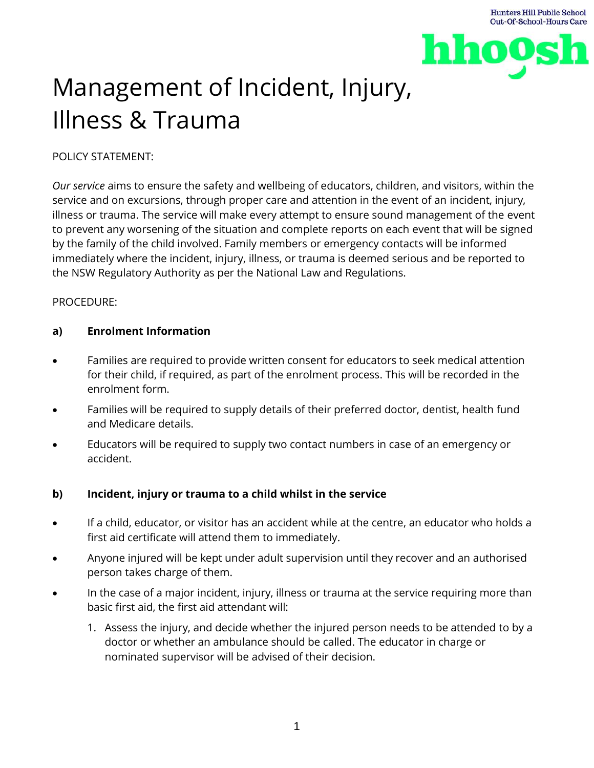

# Management of Incident, Injury, Illness & Trauma

# POLICY STATEMENT:

*Our service* aims to ensure the safety and wellbeing of educators, children, and visitors, within the service and on excursions, through proper care and attention in the event of an incident, injury, illness or trauma. The service will make every attempt to ensure sound management of the event to prevent any worsening of the situation and complete reports on each event that will be signed by the family of the child involved. Family members or emergency contacts will be informed immediately where the incident, injury, illness, or trauma is deemed serious and be reported to the NSW Regulatory Authority as per the National Law and Regulations.

# PROCEDURE:

# **a) Enrolment Information**

- Families are required to provide written consent for educators to seek medical attention for their child, if required, as part of the enrolment process. This will be recorded in the enrolment form.
- Families will be required to supply details of their preferred doctor, dentist, health fund and Medicare details.
- Educators will be required to supply two contact numbers in case of an emergency or accident.

# **b) Incident, injury or trauma to a child whilst in the service**

- If a child, educator, or visitor has an accident while at the centre, an educator who holds a first aid certificate will attend them to immediately.
- Anyone injured will be kept under adult supervision until they recover and an authorised person takes charge of them.
- In the case of a major incident, injury, illness or trauma at the service requiring more than basic first aid, the first aid attendant will:
	- 1. Assess the injury, and decide whether the injured person needs to be attended to by a doctor or whether an ambulance should be called. The educator in charge or nominated supervisor will be advised of their decision.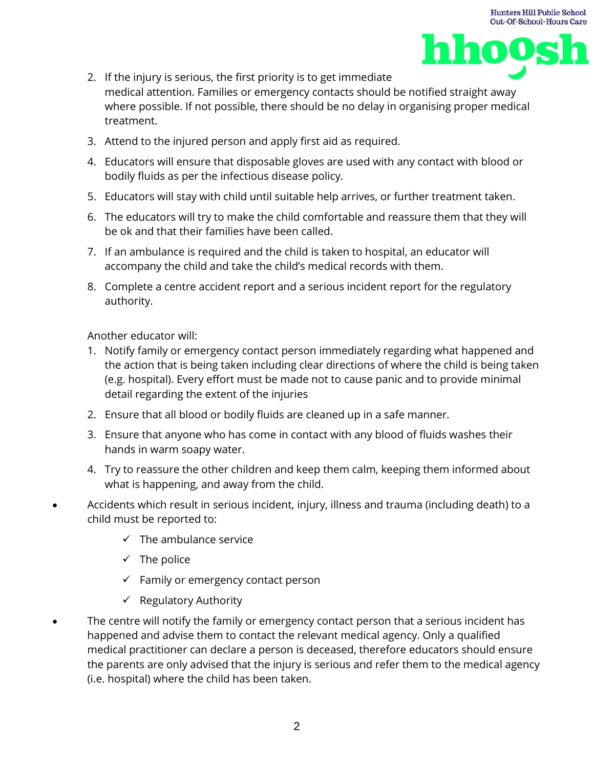

- 2. If the injury is serious, the first priority is to get immediate medical attention. Families or emergency contacts should be notified straight away where possible. If not possible, there should be no delay in organising proper medical treatment.
- 3. Attend to the injured person and apply first aid as required.
- 4. Educators will ensure that disposable gloves are used with any contact with blood or bodily fluids as per the infectious disease policy.
- 5. Educators will stay with child until suitable help arrives, or further treatment taken.
- 6. The educators will try to make the child comfortable and reassure them that they will be ok and that their families have been called.
- 7. If an ambulance is required and the child is taken to hospital, an educator will accompany the child and take the child's medical records with them.
- 8. Complete a centre accident report and a serious incident report for the regulatory authority.

Another educator will:

- 1. Notify family or emergency contact person immediately regarding what happened and the action that is being taken including clear directions of where the child is being taken (e.g. hospital). Every effort must be made not to cause panic and to provide minimal detail regarding the extent of the injuries
- 2. Ensure that all blood or bodily fluids are cleaned up in a safe manner.
- 3. Ensure that anyone who has come in contact with any blood of fluids washes their hands in warm soapy water.
- 4. Try to reassure the other children and keep them calm, keeping them informed about what is happening, and away from the child.
- Accidents which result in serious incident, injury, illness and trauma (including death) to a child must be reported to:
	- $\checkmark$  The ambulance service
	- $\checkmark$  The police
	- $\checkmark$  Family or emergency contact person
	- $\checkmark$  Regulatory Authority
- The centre will notify the family or emergency contact person that a serious incident has happened and advise them to contact the relevant medical agency. Only a qualified medical practitioner can declare a person is deceased, therefore educators should ensure the parents are only advised that the injury is serious and refer them to the medical agency (i.e. hospital) where the child has been taken.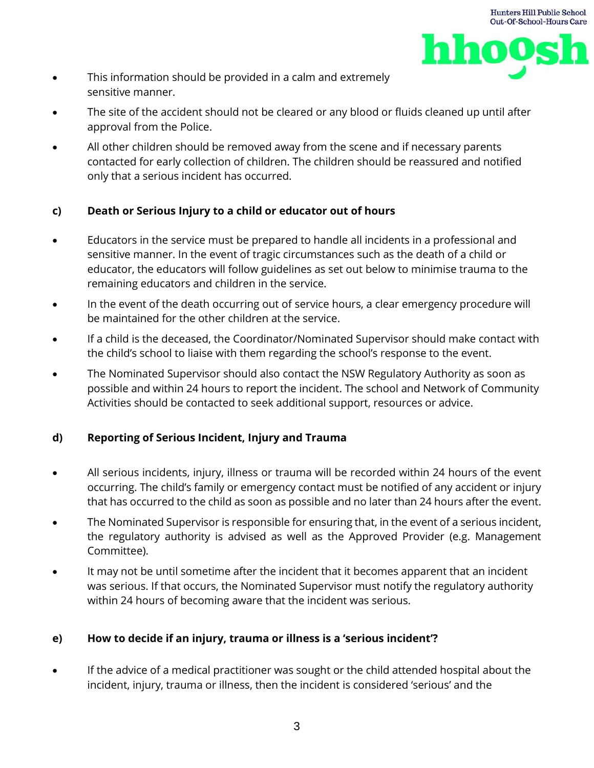

- This information should be provided in a calm and extremely sensitive manner.
- The site of the accident should not be cleared or any blood or fluids cleaned up until after approval from the Police.
- All other children should be removed away from the scene and if necessary parents contacted for early collection of children. The children should be reassured and notified only that a serious incident has occurred.

# **c) Death or Serious Injury to a child or educator out of hours**

- Educators in the service must be prepared to handle all incidents in a professional and sensitive manner. In the event of tragic circumstances such as the death of a child or educator, the educators will follow guidelines as set out below to minimise trauma to the remaining educators and children in the service.
- In the event of the death occurring out of service hours, a clear emergency procedure will be maintained for the other children at the service.
- If a child is the deceased, the Coordinator/Nominated Supervisor should make contact with the child's school to liaise with them regarding the school's response to the event.
- The Nominated Supervisor should also contact the NSW Regulatory Authority as soon as possible and within 24 hours to report the incident. The school and Network of Community Activities should be contacted to seek additional support, resources or advice.

# **d) Reporting of Serious Incident, Injury and Trauma**

- All serious incidents, injury, illness or trauma will be recorded within 24 hours of the event occurring. The child's family or emergency contact must be notified of any accident or injury that has occurred to the child as soon as possible and no later than 24 hours after the event.
- The Nominated Supervisor is responsible for ensuring that, in the event of a serious incident, the regulatory authority is advised as well as the Approved Provider (e.g. Management Committee).
- It may not be until sometime after the incident that it becomes apparent that an incident was serious. If that occurs, the Nominated Supervisor must notify the regulatory authority within 24 hours of becoming aware that the incident was serious.

# **e) How to decide if an injury, trauma or illness is a 'serious incident'?**

If the advice of a medical practitioner was sought or the child attended hospital about the incident, injury, trauma or illness, then the incident is considered 'serious' and the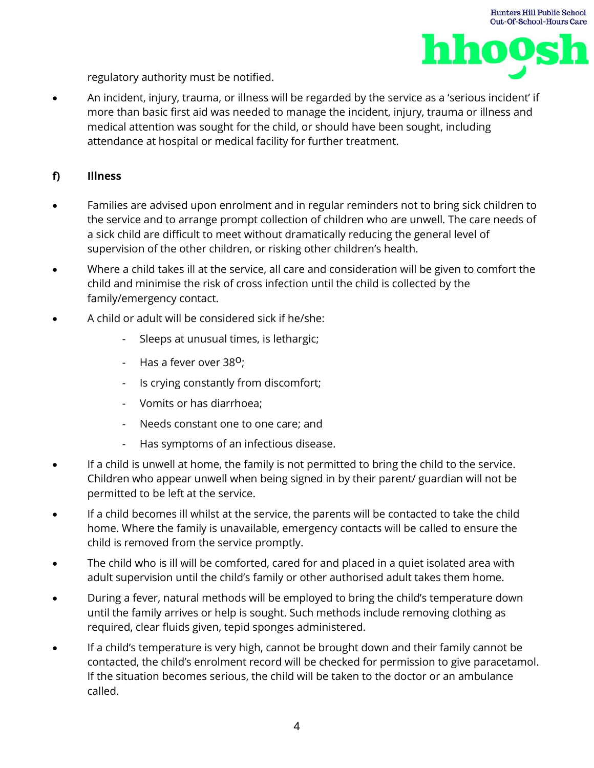

regulatory authority must be notified.

• An incident, injury, trauma, or illness will be regarded by the service as a 'serious incident' if more than basic first aid was needed to manage the incident, injury, trauma or illness and medical attention was sought for the child, or should have been sought, including attendance at hospital or medical facility for further treatment.

## **f) Illness**

- Families are advised upon enrolment and in regular reminders not to bring sick children to the service and to arrange prompt collection of children who are unwell. The care needs of a sick child are difficult to meet without dramatically reducing the general level of supervision of the other children, or risking other children's health.
- Where a child takes ill at the service, all care and consideration will be given to comfort the child and minimise the risk of cross infection until the child is collected by the family/emergency contact.
- A child or adult will be considered sick if he/she:
	- Sleeps at unusual times, is lethargic;
	- Has a fever over  $38^{\circ}$ ;
	- Is crying constantly from discomfort;
	- Vomits or has diarrhoea;
	- Needs constant one to one care; and
	- Has symptoms of an infectious disease.
- If a child is unwell at home, the family is not permitted to bring the child to the service. Children who appear unwell when being signed in by their parent/ guardian will not be permitted to be left at the service.
- If a child becomes ill whilst at the service, the parents will be contacted to take the child home. Where the family is unavailable, emergency contacts will be called to ensure the child is removed from the service promptly.
- The child who is ill will be comforted, cared for and placed in a quiet isolated area with adult supervision until the child's family or other authorised adult takes them home.
- During a fever, natural methods will be employed to bring the child's temperature down until the family arrives or help is sought. Such methods include removing clothing as required, clear fluids given, tepid sponges administered.
- If a child's temperature is very high, cannot be brought down and their family cannot be contacted, the child's enrolment record will be checked for permission to give paracetamol. If the situation becomes serious, the child will be taken to the doctor or an ambulance called.